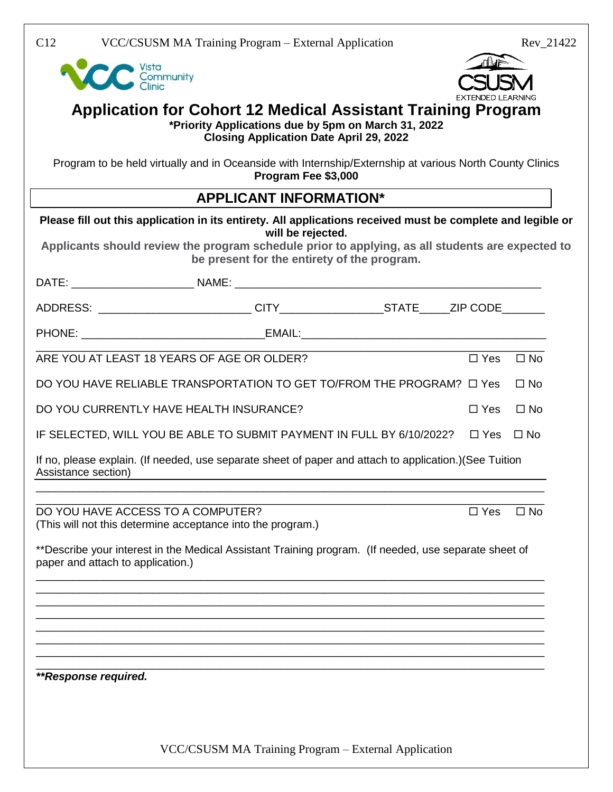Vista<br>Community<br>Clinic



### **Application for Cohort 12 Medical Assistant Training Program \*Priority Applications due by 5pm on March 31, 2022**

**Closing Application Date April 29, 2022**

Program to be held virtually and in Oceanside with Internship/Externship at various North County Clinics **Program Fee \$3,000**

## **APPLICANT INFORMATION\***

|                                         | Please fill out this application in its entirety. All applications received must be complete and legible or                                                          |               |              |
|-----------------------------------------|----------------------------------------------------------------------------------------------------------------------------------------------------------------------|---------------|--------------|
|                                         | will be rejected.<br>Applicants should review the program schedule prior to applying, as all students are expected to<br>be present for the entirety of the program. |               |              |
|                                         |                                                                                                                                                                      |               |              |
|                                         |                                                                                                                                                                      |               |              |
|                                         |                                                                                                                                                                      |               |              |
|                                         | ARE YOU AT LEAST 18 YEARS OF AGE OR OLDER?                                                                                                                           | $\Box$ Yes    | $\Box$ No    |
|                                         | DO YOU HAVE RELIABLE TRANSPORTATION TO GET TO/FROM THE PROGRAM? $\Box$ Yes                                                                                           |               | $\square$ No |
| DO YOU CURRENTLY HAVE HEALTH INSURANCE? |                                                                                                                                                                      | $\Box$ Yes    | $\Box$ No    |
|                                         | IF SELECTED, WILL YOU BE ABLE TO SUBMIT PAYMENT IN FULL BY 6/10/2022?                                                                                                | $\Box$ Yes    | $\square$ No |
| Assistance section)                     | If no, please explain. (If needed, use separate sheet of paper and attach to application.) (See Tuition                                                              |               |              |
| DO YOU HAVE ACCESS TO A COMPUTER?       | (This will not this determine acceptance into the program.)                                                                                                          | $\square$ Yes | $\Box$ No    |
| paper and attach to application.)       | **Describe your interest in the Medical Assistant Training program. (If needed, use separate sheet of                                                                |               |              |
|                                         |                                                                                                                                                                      |               |              |
|                                         |                                                                                                                                                                      |               |              |
|                                         |                                                                                                                                                                      |               |              |
|                                         |                                                                                                                                                                      |               |              |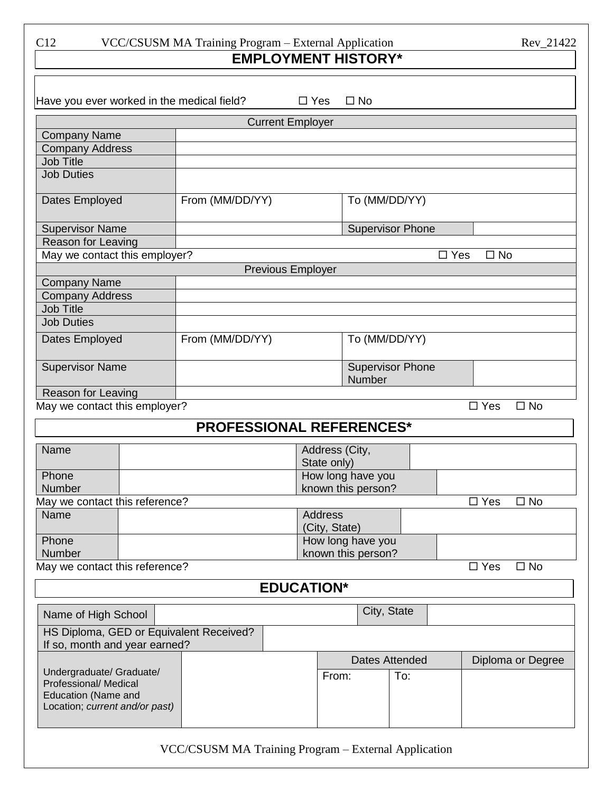C12 VCC/CSUSM MA Training Program – External Application Rev\_21422

# **EMPLOYMENT HISTORY\***

| Have you ever worked in the medical field?<br>$\square$ No<br>$\Box$ Yes                                   |  |  |                            |                                 |                    |                         |            |               |              |
|------------------------------------------------------------------------------------------------------------|--|--|----------------------------|---------------------------------|--------------------|-------------------------|------------|---------------|--------------|
| <b>Current Employer</b>                                                                                    |  |  |                            |                                 |                    |                         |            |               |              |
| <b>Company Name</b>                                                                                        |  |  |                            |                                 |                    |                         |            |               |              |
| <b>Company Address</b>                                                                                     |  |  |                            |                                 |                    |                         |            |               |              |
| <b>Job Title</b>                                                                                           |  |  |                            |                                 |                    |                         |            |               |              |
| <b>Job Duties</b>                                                                                          |  |  |                            |                                 |                    |                         |            |               |              |
| From (MM/DD/YY)<br>Dates Employed                                                                          |  |  | To (MM/DD/YY)              |                                 |                    |                         |            |               |              |
| <b>Supervisor Name</b>                                                                                     |  |  |                            |                                 |                    | <b>Supervisor Phone</b> |            |               |              |
| Reason for Leaving                                                                                         |  |  |                            |                                 |                    |                         |            |               |              |
| May we contact this employer?<br>$\square$ Yes<br>$\square$ No                                             |  |  |                            |                                 |                    |                         |            |               |              |
| <b>Previous Employer</b>                                                                                   |  |  |                            |                                 |                    |                         |            |               |              |
| <b>Company Name</b>                                                                                        |  |  |                            |                                 |                    |                         |            |               |              |
| <b>Company Address</b>                                                                                     |  |  |                            |                                 |                    |                         |            |               |              |
| <b>Job Title</b>                                                                                           |  |  |                            |                                 |                    |                         |            |               |              |
| <b>Job Duties</b>                                                                                          |  |  |                            |                                 |                    |                         |            |               |              |
| From (MM/DD/YY)<br>Dates Employed                                                                          |  |  | To (MM/DD/YY)              |                                 |                    |                         |            |               |              |
| <b>Supervisor Name</b>                                                                                     |  |  | Supervisor Phone<br>Number |                                 |                    |                         |            |               |              |
| Reason for Leaving                                                                                         |  |  |                            |                                 |                    |                         |            |               |              |
| May we contact this employer?                                                                              |  |  |                            |                                 |                    |                         | $\Box$ Yes | $\square$ No  |              |
| <b>PROFESSIONAL REFERENCES*</b>                                                                            |  |  |                            |                                 |                    |                         |            |               |              |
| Name                                                                                                       |  |  |                            | Address (City,                  |                    |                         |            |               |              |
|                                                                                                            |  |  |                            | State only)                     |                    |                         |            |               |              |
| Phone                                                                                                      |  |  |                            | How long have you               |                    |                         |            |               |              |
| Number                                                                                                     |  |  |                            | known this person?              |                    |                         |            |               |              |
| May we contact this reference?                                                                             |  |  |                            |                                 |                    |                         |            | $\Box$ Yes    | $\square$ No |
| Name                                                                                                       |  |  |                            | <b>Address</b><br>(City, State) |                    |                         |            |               |              |
| Phone                                                                                                      |  |  |                            |                                 | How long have you  |                         |            |               |              |
| Number                                                                                                     |  |  |                            |                                 | known this person? |                         |            |               |              |
| May we contact this reference?                                                                             |  |  |                            |                                 |                    |                         |            | $\square$ Yes | $\square$ No |
| <b>EDUCATION*</b>                                                                                          |  |  |                            |                                 |                    |                         |            |               |              |
| Name of High School                                                                                        |  |  |                            |                                 | City, State        |                         |            |               |              |
| HS Diploma, GED or Equivalent Received?<br>If so, month and year earned?                                   |  |  |                            |                                 |                    |                         |            |               |              |
| <b>Dates Attended</b><br>Diploma or Degree                                                                 |  |  |                            |                                 |                    |                         |            |               |              |
| Undergraduate/ Graduate/<br>Professional/ Medical<br>Education (Name and<br>Location; current and/or past) |  |  | From:                      |                                 | To:                |                         |            |               |              |
|                                                                                                            |  |  |                            |                                 |                    |                         |            |               |              |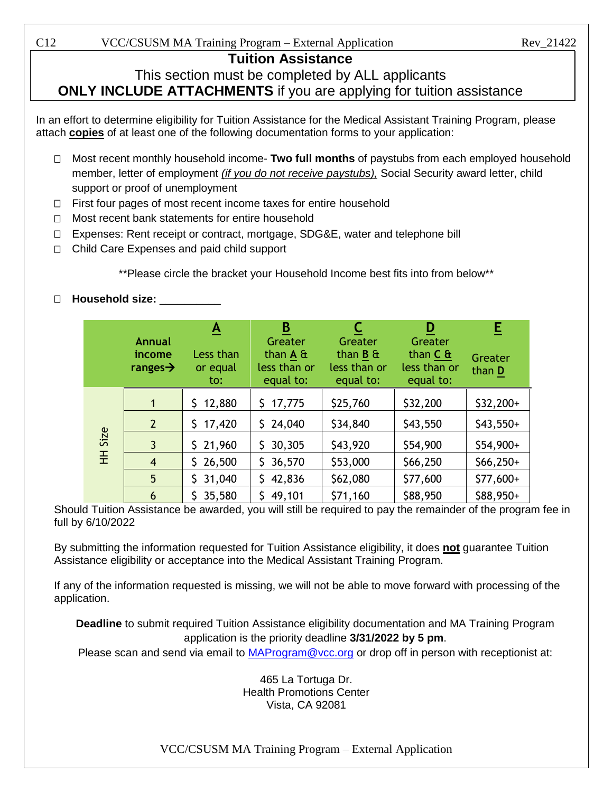C12 VCC/CSUSM MA Training Program – External Application Rev\_21422

## **Tuition Assistance**

## This section must be completed by ALL applicants **ONLY INCLUDE ATTACHMENTS** if you are applying for tuition assistance

In an effort to determine eligibility for Tuition Assistance for the Medical Assistant Training Program, please attach **copies** of at least one of the following documentation forms to your application:

- Most recent monthly household income- **Two full months** of paystubs from each employed household member, letter of employment *(if you do not receive paystubs),* Social Security award letter, child support or proof of unemployment
- $\Box$  First four pages of most recent income taxes for entire household
- $\Box$  Most recent bank statements for entire household
- □ Expenses: Rent receipt or contract, mortgage, SDG&E, water and telephone bill
- □ Child Care Expenses and paid child support

\*\*Please circle the bracket your Household Income best fits into from below\*\*

### **Household size:** \_\_\_\_\_\_\_\_\_\_

|                | Annual<br>income<br>ranges $\rightarrow$ | <u>A</u><br>Less than<br>or equal<br>to: | B<br>Greater<br>than $A \&$<br>less than or<br>equal to: | Greater<br>than $B \t{a}$<br>less than or<br>equal to: | D<br><b>Greater</b><br>than $C$ &<br>less than or<br>equal to: | E<br>Greater<br>than D |
|----------------|------------------------------------------|------------------------------------------|----------------------------------------------------------|--------------------------------------------------------|----------------------------------------------------------------|------------------------|
|                | 1                                        | 12,880                                   | 17,775<br>S.                                             | \$25,760                                               | \$32,200                                                       | $$32,200+$             |
|                | $\overline{2}$                           | \$<br>17,420                             | 24,040<br>\$.                                            | \$34,840                                               | \$43,550                                                       | $$43,550+$             |
| <b>HH Size</b> | $\mathbf{3}$                             | \$21,960                                 | 30,305<br>\$.                                            | \$43,920                                               | \$54,900                                                       | \$54,900+              |
|                | $\overline{4}$                           | \$26,500                                 | 36,570<br>\$.                                            | \$53,000                                               | \$66,250                                                       | $$66,250+$             |
|                | 5                                        | 31,040<br>S.                             | 42,836                                                   | \$62,080                                               | \$77,600                                                       | \$77,600+              |
|                | 6                                        | 35,580                                   | 49,101                                                   | \$71,160                                               | \$88,950                                                       | \$88,950+              |

Should Tuition Assistance be awarded, you will still be required to pay the remainder of the program fee in full by 6/10/2022

By submitting the information requested for Tuition Assistance eligibility, it does **not** guarantee Tuition Assistance eligibility or acceptance into the Medical Assistant Training Program.

If any of the information requested is missing, we will not be able to move forward with processing of the application.

**Deadline** to submit required Tuition Assistance eligibility documentation and MA Training Program application is the priority deadline **3/31/2022 by 5 pm**.

Please scan and send via email to MAProgram@vcc.org or drop off in person with receptionist at:

465 La Tortuga Dr. Health Promotions Center Vista, CA 92081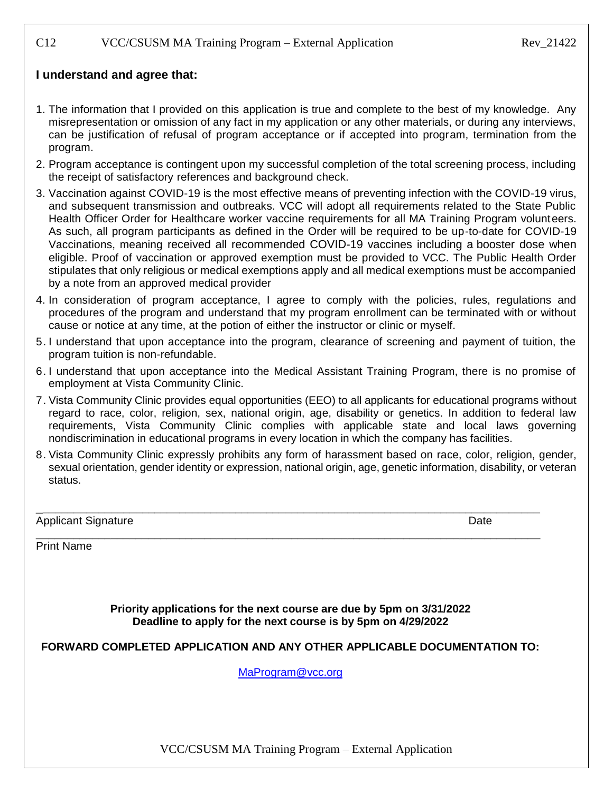#### C12 VCC/CSUSM MA Training Program – External Application Rev\_21422

#### **I understand and agree that:**

- 1. The information that I provided on this application is true and complete to the best of my knowledge. Any misrepresentation or omission of any fact in my application or any other materials, or during any interviews, can be justification of refusal of program acceptance or if accepted into program, termination from the program.
- 2. Program acceptance is contingent upon my successful completion of the total screening process, including the receipt of satisfactory references and background check.
- 3. Vaccination against COVID-19 is the most effective means of preventing infection with the COVID-19 virus, and subsequent transmission and outbreaks. VCC will adopt all requirements related to the State Public Health Officer Order for Healthcare worker vaccine requirements for all MA Training Program volunteers. As such, all program participants as defined in the Order will be required to be up-to-date for COVID-19 Vaccinations, meaning received all recommended COVID-19 vaccines including a booster dose when eligible. Proof of vaccination or approved exemption must be provided to VCC. The Public Health Order stipulates that only religious or medical exemptions apply and all medical exemptions must be accompanied by a note from an approved medical provider
- 4. In consideration of program acceptance, I agree to comply with the policies, rules, regulations and procedures of the program and understand that my program enrollment can be terminated with or without cause or notice at any time, at the potion of either the instructor or clinic or myself.
- 5. I understand that upon acceptance into the program, clearance of screening and payment of tuition, the program tuition is non-refundable.
- 6. I understand that upon acceptance into the Medical Assistant Training Program, there is no promise of employment at Vista Community Clinic.
- 7. Vista Community Clinic provides equal opportunities (EEO) to all applicants for educational programs without regard to race, color, religion, sex, national origin, age, disability or genetics. In addition to federal law requirements, Vista Community Clinic complies with applicable state and local laws governing nondiscrimination in educational programs in every location in which the company has facilities.
- 8. Vista Community Clinic expressly prohibits any form of harassment based on race, color, religion, gender, sexual orientation, gender identity or expression, national origin, age, genetic information, disability, or veteran status.

| <b>Applicant Signature</b> | Date |
|----------------------------|------|
|----------------------------|------|

Print Name

**Priority applications for the next course are due by 5pm on 3/31/2022 Deadline to apply for the next course is by 5pm on 4/29/2022**

\_\_\_\_\_\_\_\_\_\_\_\_\_\_\_\_\_\_\_\_\_\_\_\_\_\_\_\_\_\_\_\_\_\_\_\_\_\_\_\_\_\_\_\_\_\_\_\_\_\_\_\_\_\_\_\_\_\_\_\_\_\_\_\_\_\_\_\_\_\_\_\_\_\_\_\_\_\_\_\_\_

\_\_\_\_\_\_\_\_\_\_\_\_\_\_\_\_\_\_\_\_\_\_\_\_\_\_\_\_\_\_\_\_\_\_\_\_\_\_\_\_\_\_\_\_\_\_\_\_\_\_\_\_\_\_\_\_\_\_\_\_\_\_\_\_\_\_\_\_\_\_\_\_\_\_\_\_\_\_\_\_\_

#### **FORWARD COMPLETED APPLICATION AND ANY OTHER APPLICABLE DOCUMENTATION TO:**

MaProgram@vcc.org